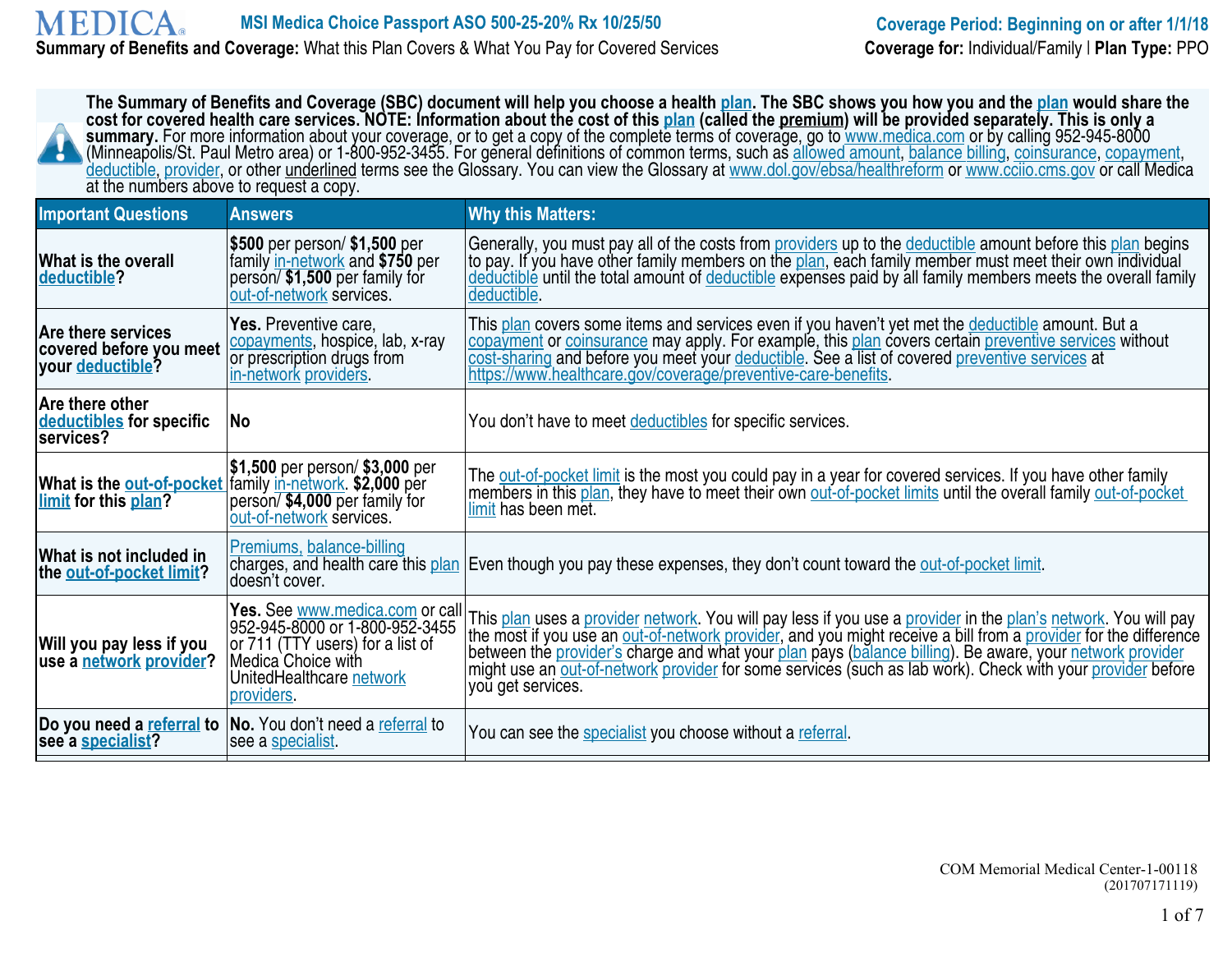#### **MEDICA MSI Medica Choice Passport ASO 500-25-20% Rx 10/25/50 Coverage Period: Beginning on or after 1/1/18**<br> **Coverage:** What this Plan Covers & What You Pay for Covered Services **Coverage for:** Individual/Family | Plan Type: **Summary of Benefits and Coverage:** What this Plan Covers & What You Pay for Covered Services

| The Summary of Benefits and Coverage (SBC) document will help you choose a health plan. The SBC shows you how you and the plan would share the<br>cost for covered health care services. NOTE: Information about the cost of this plan (called the premium) will be provided separately. This is only a<br>summary. For more information about your coverage, or to get a copy of the complete terms of coverage, go to www.medica.com or by calling 952-945-8000 (Minneapolis/St. Paul Metro area) or 1-800-952-3455. For general defini<br>deductible, provider, or other underlined terms see the Glossary. You can view the Glossary at www.dol.gov/ebsa/healthreform or www.ccijo.cms.gov or call Medica<br>at the numbers above to request a copy. |                                                                                                                                                                       |                                                                                                                                                                                                                                                                                                                                                                                                                                                                                  |  |
|----------------------------------------------------------------------------------------------------------------------------------------------------------------------------------------------------------------------------------------------------------------------------------------------------------------------------------------------------------------------------------------------------------------------------------------------------------------------------------------------------------------------------------------------------------------------------------------------------------------------------------------------------------------------------------------------------------------------------------------------------------|-----------------------------------------------------------------------------------------------------------------------------------------------------------------------|----------------------------------------------------------------------------------------------------------------------------------------------------------------------------------------------------------------------------------------------------------------------------------------------------------------------------------------------------------------------------------------------------------------------------------------------------------------------------------|--|
| <b>Important Questions</b>                                                                                                                                                                                                                                                                                                                                                                                                                                                                                                                                                                                                                                                                                                                               | <b>Answers</b>                                                                                                                                                        | <b>Why this Matters:</b>                                                                                                                                                                                                                                                                                                                                                                                                                                                         |  |
| What is the overall<br>deductible?                                                                                                                                                                                                                                                                                                                                                                                                                                                                                                                                                                                                                                                                                                                       | \$500 per person/ \$1,500 per<br>family in-network and \$750 per<br>person/\$1,500 per family for<br>out-of-network services.                                         | Generally, you must pay all of the costs from providers up to the deductible amount before this plan begins<br>to pay. If you have other family members on the plan, each family member must meet their own individual<br>deductible until the total amount of deductible expenses paid by all family members meets the overall family<br>deductible.                                                                                                                            |  |
| Are there services<br>covered before you meet<br>your deductible?                                                                                                                                                                                                                                                                                                                                                                                                                                                                                                                                                                                                                                                                                        | Yes. Preventive care,<br>copayments, hospice, lab, x-ray<br>or prescription drugs from<br>in-network providers.                                                       | This plan covers some items and services even if you haven't yet met the deductible amount. But a<br>copayment or coinsurance may apply. For example, this plan covers certain preventive services without<br>cost-sharing and before you meet your deductible. See a list of covered preventive services at<br>https://www.healthcare.gov/coverage/preventive-care-benefits.                                                                                                    |  |
| Are there other<br>deductibles for specific<br>services?                                                                                                                                                                                                                                                                                                                                                                                                                                                                                                                                                                                                                                                                                                 | No                                                                                                                                                                    | You don't have to meet deductibles for specific services.                                                                                                                                                                                                                                                                                                                                                                                                                        |  |
| limit for this plan?                                                                                                                                                                                                                                                                                                                                                                                                                                                                                                                                                                                                                                                                                                                                     | \$1,500 per person/ \$3,000 per<br>What is the out-of-pocket family in-network. \$2,000 per<br>person/\$4,000 per family for<br>out-of-network services.              | The out-of-pocket limit is the most you could pay in a year for covered services. If you have other family<br>members in this plan, they have to meet their own out-of-pocket limits until the overall family out-of-pocket<br>limit has been met.                                                                                                                                                                                                                               |  |
| What is not included in<br>the out-of-pocket limit?                                                                                                                                                                                                                                                                                                                                                                                                                                                                                                                                                                                                                                                                                                      | Premiums, balance-billing<br>doesn't cover.                                                                                                                           | charges, and health care this plan Even though you pay these expenses, they don't count toward the out-of-pocket limit.                                                                                                                                                                                                                                                                                                                                                          |  |
| Will you pay less if you<br>use a network provider?                                                                                                                                                                                                                                                                                                                                                                                                                                                                                                                                                                                                                                                                                                      | Yes. See www.medica.com or call<br>952-945-8000 or 1-800-952-3455<br>or 711 (TTY users) for a list of<br>Medica Choice with<br>UnitedHealthcare network<br>providers. | This plan uses a provider network. You will pay less if you use a provider in the plan's network. You will pay<br>the most if you use an out-of-network provider, and you might receive a bill from a provider for the difference<br>between the provider's charge and what your plan pays (balance billing). Be aware, your network provider<br>might use an out-of-network provider for some services (such as lab work). Check with your provider before<br>you get services. |  |
| see a specialist?                                                                                                                                                                                                                                                                                                                                                                                                                                                                                                                                                                                                                                                                                                                                        | Do you need a referral to  No. You don't need a referral to<br>see a specialist.                                                                                      | You can see the specialist you choose without a referral.                                                                                                                                                                                                                                                                                                                                                                                                                        |  |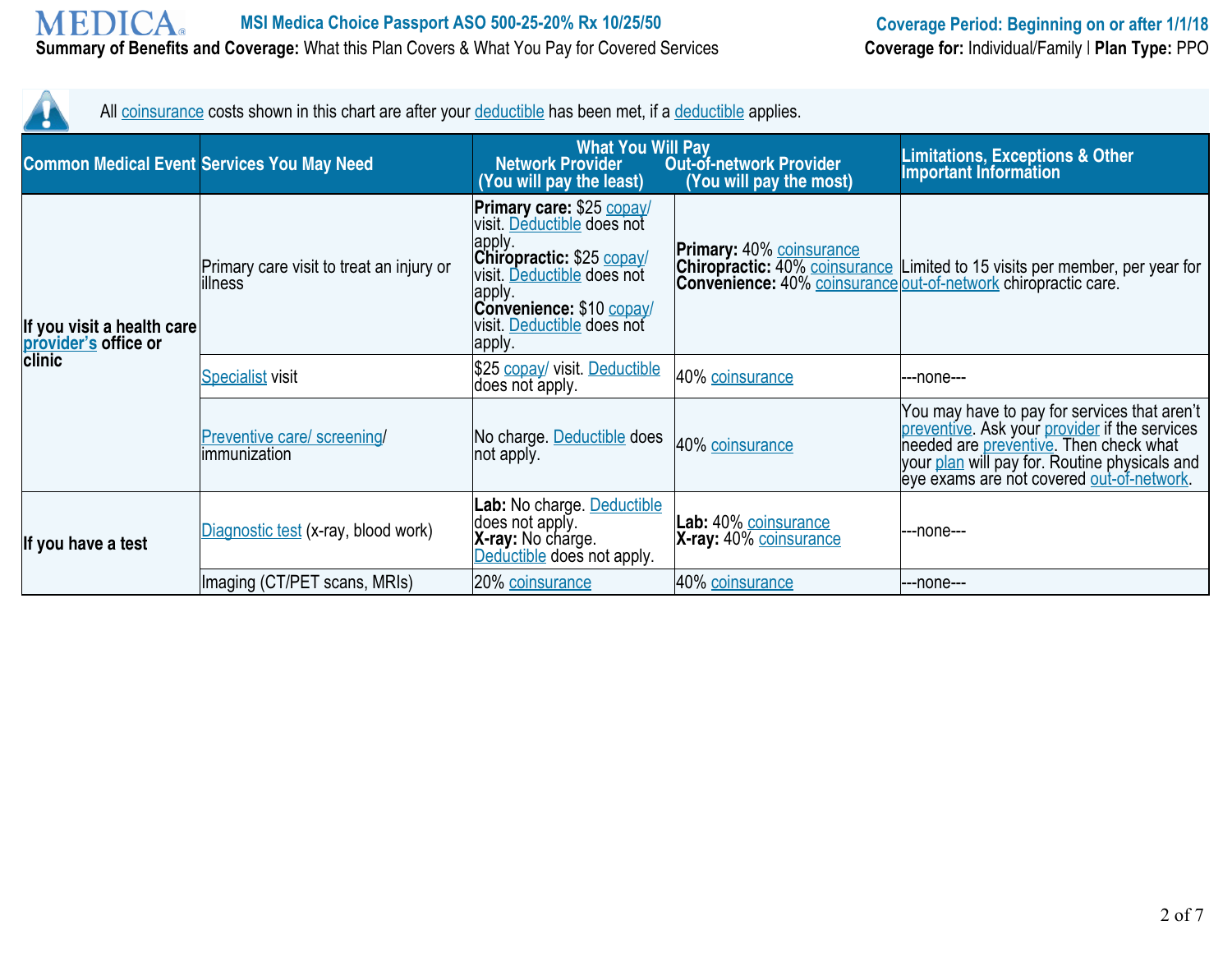Λ

| All coinsurance costs shown in this chart are after your deductible has been met, if a deductible applies. |                                                     |                                                                                                                                                                                                             |                                                          |                                                                                                                                                                                                                                       |
|------------------------------------------------------------------------------------------------------------|-----------------------------------------------------|-------------------------------------------------------------------------------------------------------------------------------------------------------------------------------------------------------------|----------------------------------------------------------|---------------------------------------------------------------------------------------------------------------------------------------------------------------------------------------------------------------------------------------|
|                                                                                                            | <b>Common Medical Event Services You May Need</b>   | <b>What You Will Pay</b><br><b>Network Provider</b><br>(You will pay the least)                                                                                                                             | <b>Out-of-network Provider</b><br>You will pay the most) | <b>Limitations, Exceptions &amp; Other</b><br><b>Important Information</b>                                                                                                                                                            |
| If you visit a health care<br>provider's office or                                                         | Primary care visit to treat an injury or<br>illness | Primary care: \$25 copay/<br>visit. Deductible does not<br>apply.<br>Chiropractic: \$25 copay/<br>visit. Deductible does not<br>apply.<br>Convenience: \$10 copay/<br>visit. Deductible does not<br>∣apply. | <b>Primary: 40% coinsurance</b>                          | <b>Chiropractic:</b> 40% coinsurance Limited to 15 visits per member, per year for<br><b>Convenience:</b> 40% coinsurance out-of-network chiropractic care.                                                                           |
| clinic                                                                                                     | <b>Specialist visit</b>                             | \$25 copay/ visit. Deductible<br>does not apply.                                                                                                                                                            | 40% coinsurance                                          | ---none---                                                                                                                                                                                                                            |
|                                                                                                            | Preventive care/ screening/<br>immunization         | No charge. Deductible does<br>not apply.                                                                                                                                                                    | 40% coinsurance                                          | You may have to pay for services that aren't<br>preventive. Ask your provider if the services<br>needed are preventive. Then check what<br>your plan will pay for. Routine physicals and<br>eye exams are not covered out-of-network. |
| If you have a test                                                                                         | Diagnostic test (x-ray, blood work)                 | Lab: No charge. Deductible<br>does not apply.<br>X-ray: No charge.<br>Deductible does not apply.                                                                                                            | Lab: 40% coinsurance<br>X-ray: 40% coinsurance           | ---none---                                                                                                                                                                                                                            |
|                                                                                                            | Imaging (CT/PET scans, MRIs)                        | 20% coinsurance                                                                                                                                                                                             | 40% coinsurance                                          | ---none---                                                                                                                                                                                                                            |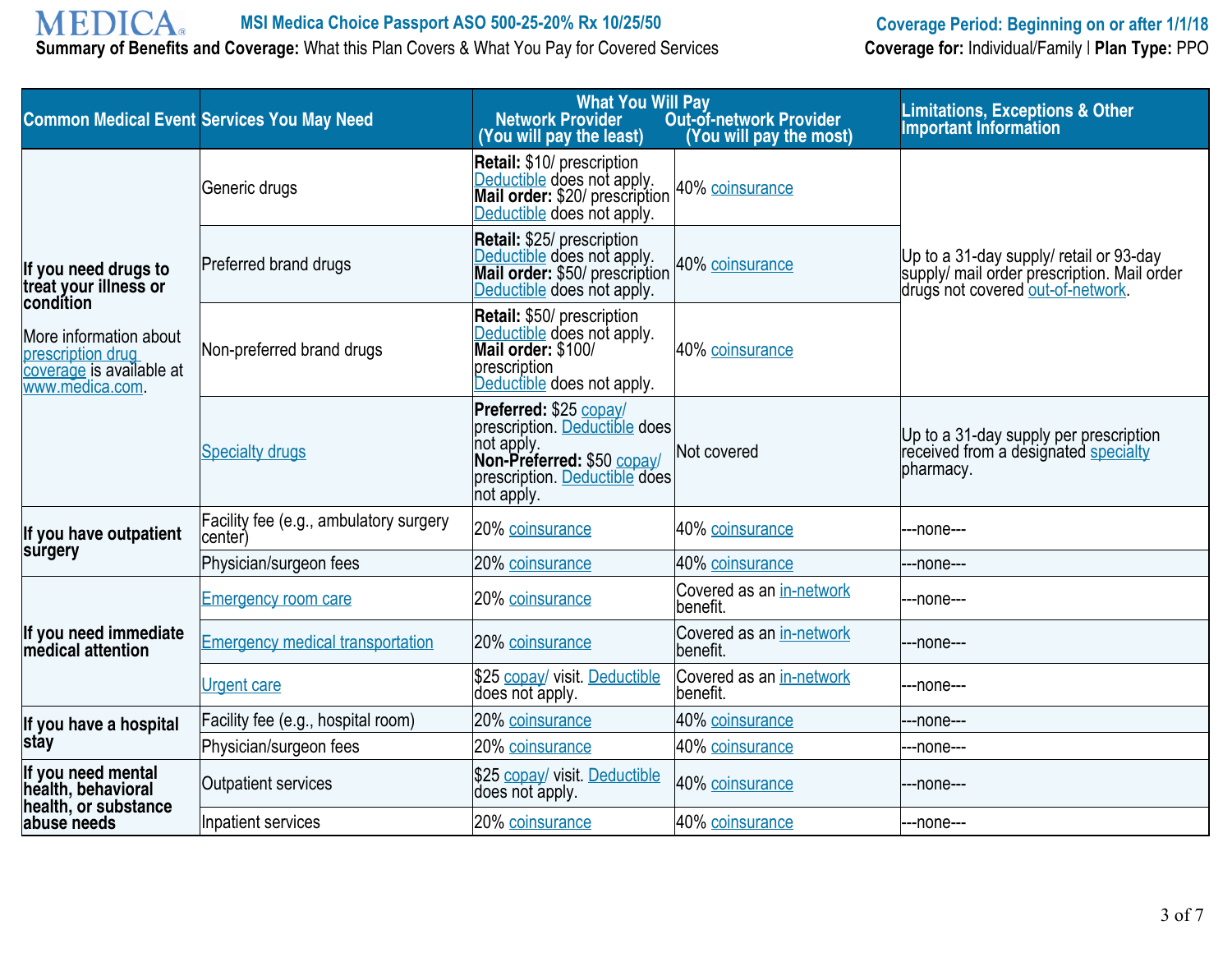# **MEDICA**

**Summary of Benefits and Coverage:** What this Plan Covers & What You Pay for Covered Services

| <b>Common Medical Event Services You May Need</b>                                          |                                                   | <b>What You Will Pay</b><br><b>Network Provider</b><br>(You will pay the least)                                                                    | <b>Out-of-network Provider</b><br>(You will pay the most) | <b>Limitations, Exceptions &amp; Other</b><br><b>Important Information</b>                                                  |
|--------------------------------------------------------------------------------------------|---------------------------------------------------|----------------------------------------------------------------------------------------------------------------------------------------------------|-----------------------------------------------------------|-----------------------------------------------------------------------------------------------------------------------------|
|                                                                                            | Generic drugs                                     | Retail: \$10/ prescription<br>Deductible does not apply.<br>Mail order: \$20/ prescription<br>Deductible does not apply.                           | 40% coinsurance                                           |                                                                                                                             |
| If you need drugs to<br>tréat your illness or<br>condition                                 | Preferred brand drugs                             | Retail: \$25/ prescription<br>Deductible does not apply.<br>Mail order: \$50/ prescription<br>Deductible does not apply.                           | 40% coinsurance                                           | Up to a 31-day supply/ retail or 93-day<br>supply/ mail order prescription. Mail order<br>drugs not covered out-of-network. |
| More information about<br>prescription drug<br>coverage is available at<br>www.medica.com. | Non-preferred brand drugs                         | Retail: \$50/ prescription<br>Deductible does not apply.<br>Mail order: \$100/<br>prescription<br>Deductible does not apply.                       | 40% coinsurance                                           |                                                                                                                             |
|                                                                                            | <b>Specialty drugs</b>                            | Preferred: \$25 copay/<br>prescription. Deductible does<br>not apply.<br>Non-Preferred: \$50 copay/<br>prescription. Deductible does<br>not apply. | Not covered                                               | Up to a 31-day supply per prescription<br>received from a designated specialty<br>pharmacy.                                 |
| If you have outpatient                                                                     | Facility fee (e.g., ambulatory surgery<br>center) | 20% coinsurance                                                                                                                                    | 40% coinsurance                                           | ---none---                                                                                                                  |
| surgery                                                                                    | Physician/surgeon fees                            | 20% coinsurance                                                                                                                                    | 40% coinsurance                                           | ---none---                                                                                                                  |
|                                                                                            | <b>Emergency room care</b>                        | 20% coinsurance                                                                                                                                    | Covered as an in-network<br>benefit.                      | ---none---                                                                                                                  |
| If you need immediate<br>medical attention                                                 | <b>Emergency medical transportation</b>           | 20% coinsurance                                                                                                                                    | Covered as an in-network<br>benefit.                      | ---none---                                                                                                                  |
|                                                                                            | <b>Urgent care</b>                                | \$25 copay/ visit. Deductible<br>does not apply.                                                                                                   | Covered as an in-network<br>benefit.                      | ---none---                                                                                                                  |
| If you have a hospital                                                                     | Facility fee (e.g., hospital room)                | 20% coinsurance                                                                                                                                    | 40% coinsurance                                           | --none---                                                                                                                   |
| <b>stay</b>                                                                                | Physician/surgeon fees                            | 20% coinsurance                                                                                                                                    | 40% coinsurance                                           | ---none---                                                                                                                  |
| If you need mental<br>health, behavioral<br>health, or substance                           | Outpatient services                               | \$25 copay/ visit. Deductible<br>does not apply.                                                                                                   | 40% coinsurance                                           | ---none---                                                                                                                  |
| abuse needs                                                                                | Inpatient services                                | 20% coinsurance                                                                                                                                    | 40% coinsurance                                           | ---none---                                                                                                                  |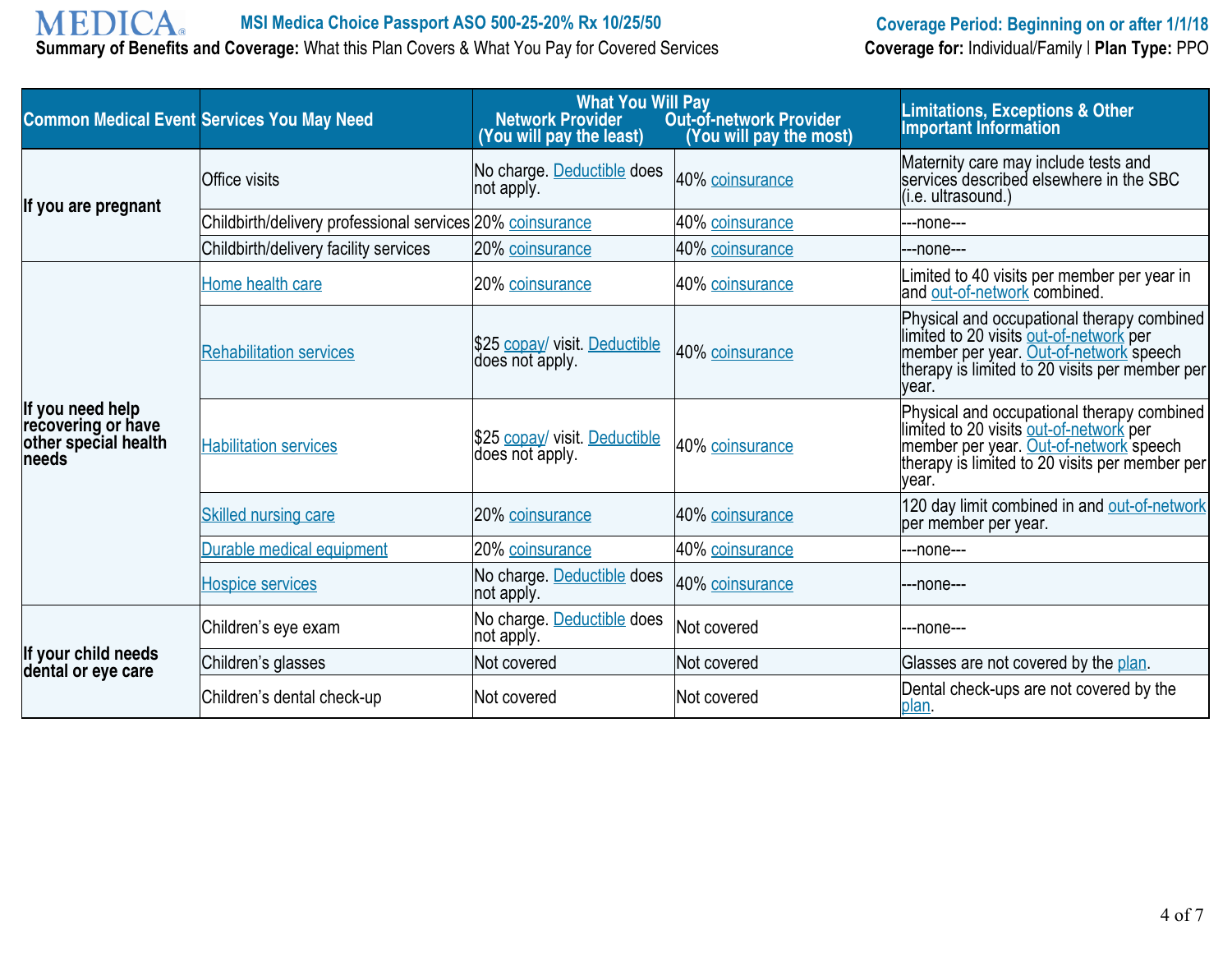# **MEDICA**

**Summary of Benefits and Coverage:** What this Plan Covers & What You Pay for Covered Services

# **MSI Medica Choice Passport ASO 500-25-20% Rx 10/25/50 Coverage Period: Beginning on or after 1/1/18**<br> **Coverage:** What this Plan Covers & What You Pay for Covered Services **Coverage for:** Individual/Family | Plan Type:

| <b>Common Medical Event Services You May Need</b>                       |                                                           | <b>What You Will Pay</b><br><b>Network Provider</b><br>(You will pay the least) | <b>Out-of-network Provider</b><br>(You will pay the most) | <b>Limitations, Exceptions &amp; Other</b><br><b>Important Information</b>                                                                                                                 |
|-------------------------------------------------------------------------|-----------------------------------------------------------|---------------------------------------------------------------------------------|-----------------------------------------------------------|--------------------------------------------------------------------------------------------------------------------------------------------------------------------------------------------|
| If you are pregnant                                                     | <b>Office visits</b>                                      | No charge. Deductible does<br>not apply.                                        | 40% coinsurance                                           | Maternity care may include tests and<br>services described elsewhere in the SBC<br>(i.e. ultrasound.)                                                                                      |
|                                                                         | Childbirth/delivery professional services 20% coinsurance |                                                                                 | 40% coinsurance                                           | ---none---                                                                                                                                                                                 |
|                                                                         | Childbirth/delivery facility services                     | 20% coinsurance                                                                 | 40% coinsurance                                           | ---none---                                                                                                                                                                                 |
|                                                                         | Home health care                                          | 20% coinsurance                                                                 | 40% coinsurance                                           | Limited to 40 visits per member per year in<br>and out-of-network combined.                                                                                                                |
|                                                                         | <b>Rehabilitation services</b>                            | \$25 copay/ visit. Deductible<br>does not apply.                                | 40% coinsurance                                           | Physical and occupational therapy combined<br>limited to 20 visits out-of-network per<br>member per year. Out-of-network speech<br>therapy is limited to 20 visits per member per<br>year. |
| If you need help<br>recovering or have<br>other special health<br>needs | <b>Habilitation services</b>                              | \$25 copay/ visit. Deductible<br>does not apply.                                | 40% coinsurance                                           | Physical and occupational therapy combined<br>limited to 20 visits out-of-network per<br>member per year. Out-of-network speech<br>therapy is limited to 20 visits per member per<br>year. |
|                                                                         | <b>Skilled nursing care</b>                               | 20% coinsurance                                                                 | 40% coinsurance                                           | 120 day limit combined in and out-of-network<br>per member per year.                                                                                                                       |
|                                                                         | Durable medical equipment                                 | 20% coinsurance                                                                 | 40% coinsurance                                           | ---none---                                                                                                                                                                                 |
|                                                                         | <b>Hospice services</b>                                   | No charge. Deductible does<br>not apply.                                        | 40% coinsurance                                           | ---none---                                                                                                                                                                                 |
|                                                                         | Children's eye exam                                       | No charge. Deductible does<br>not apply.                                        | Not covered                                               | ---none---                                                                                                                                                                                 |
| If your child needs<br>dental or eye care                               | Children's glasses                                        | Not covered                                                                     | Not covered                                               | Glasses are not covered by the plan.                                                                                                                                                       |
|                                                                         | Children's dental check-up                                | Not covered                                                                     | Not covered                                               | Dental check-ups are not covered by the<br>plan.                                                                                                                                           |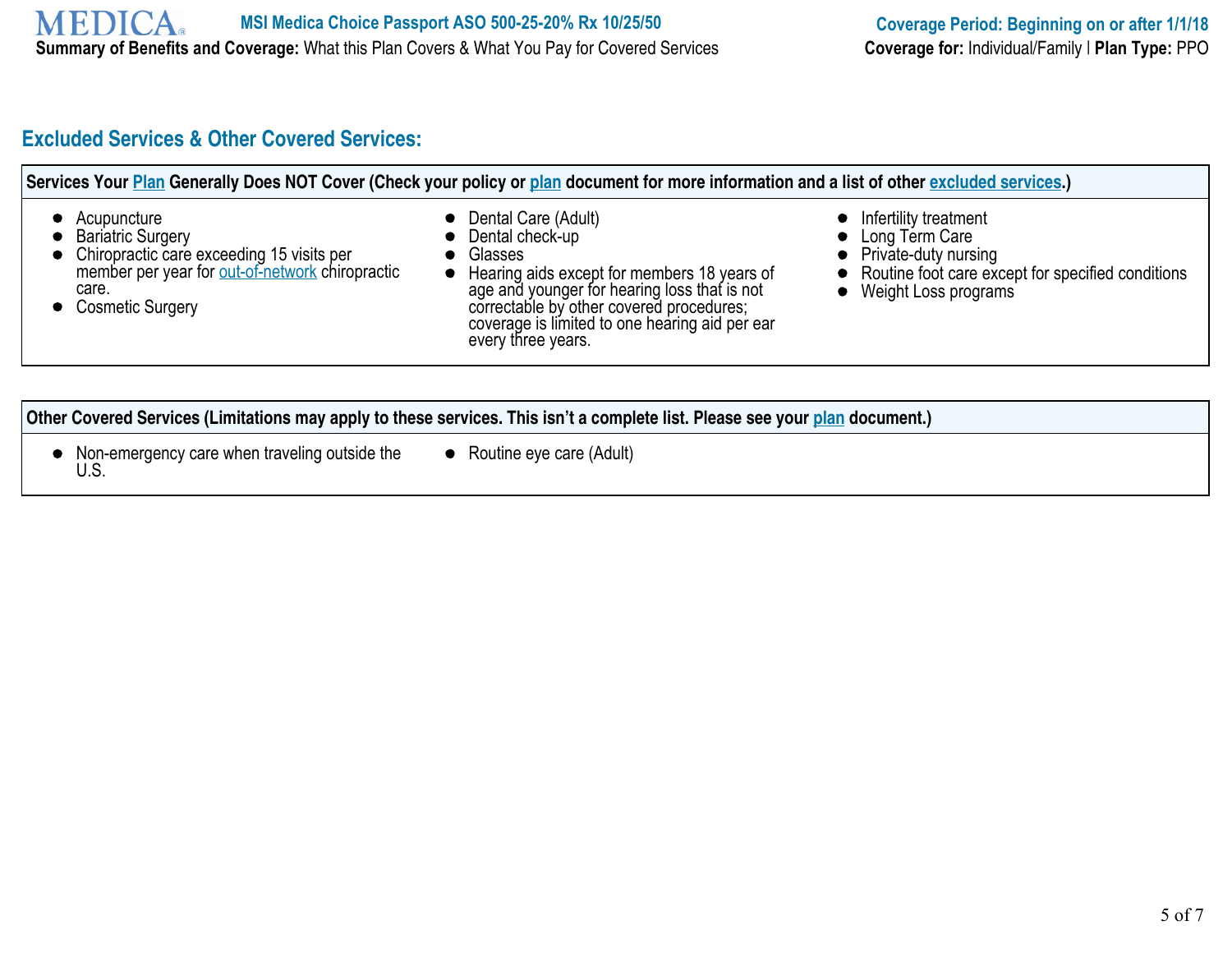## **Excluded Services & Other Covered Services:**

| Routine foot care except for specified conditions<br>Hearing aids except for members 18 years of<br>age and younger for hearing loss that is not<br>• Weight Loss programs<br>correctable by other covered procedures;<br>coverage is limited to one hearing aid per ear |
|--------------------------------------------------------------------------------------------------------------------------------------------------------------------------------------------------------------------------------------------------------------------------|
|                                                                                                                                                                                                                                                                          |

#### **Other Covered Services (Limitations may apply to these services. This isn't a complete list. Please see your plan document.)**

- Non-emergency care when traveling outside the  $\bullet$ U.S.
- Routine eye care (Adult)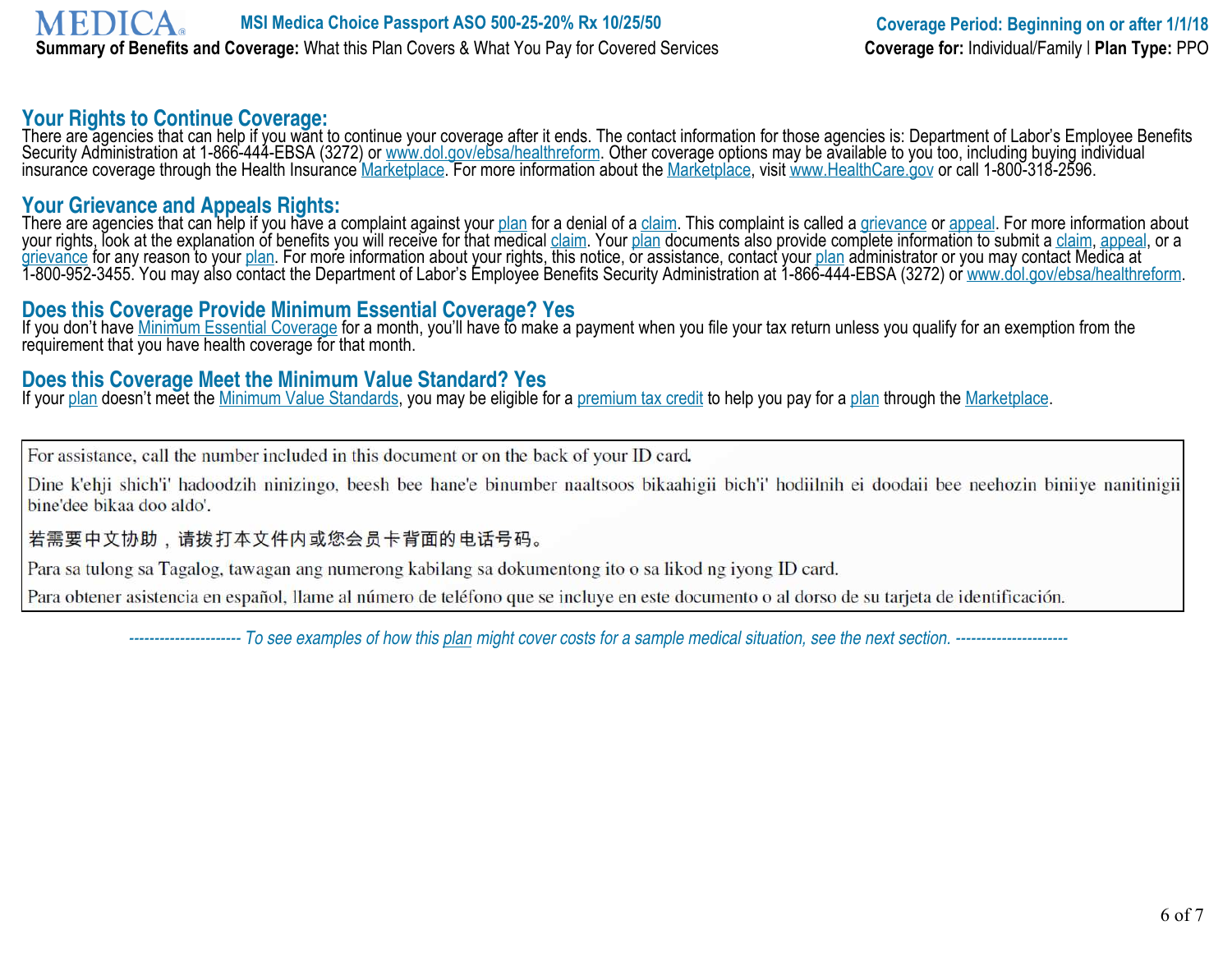#### **Your Rights to Continue Coverage:**

There are agencies that can help if you want to continue your coverage after it ends. The contact information for those agencies is: Department of Labor's Employee Benefits Security Administration at 1-866-444-EBSA (3272) or www.dol.gov/ebsa/healthreform. Other coverage options may be available to you too, including buying individual insurance coverage through the Health Insurance <u>Marketplace</u>. For more information about the <u>Marketplace</u>, visit www.HealthCare.gov or call 1-800-318-2596.

#### **Your Grievance and Appeals Rights:**

There are agencies that can help if you have a complaint against your <u>plan</u> for a denial of a <u>claim</u>. This complaint is called a <u>grievance</u> or <u>appeal</u>. For more information about your rights, look at the explanation of benefits you will receive for that medical <u>claim</u>. Your <u>plan</u> documents also provide complete information to submit a <u>claim, appeal,</u> or a grievance for any reason to your <u>plan</u>. For more information about your rights, this notice, or assistance, contact your <u>plan</u> administrator or you may contact Medica at 1-800-952-3455. You may also contact the Department of Labor's Employee Benefits Security Administration at 1-866-444-EBSA (3272) or <u>www.dol.gov/ebsa/healthreform</u>.

### **Does this Coverage Provide Minimum Essential Coverage? Yes**

If you don't have Minimum Essential Coverage for a month, you'll have to make a payment when you file your tax return unless you qualify for an exemption from the requirement that you have health coverage for that month.

## **Does this Coverage Meet the Minimum Value Standard? Yes**

If your plan doesn't meet the Minimum Value Standards, you may be eligible for a premium tax credit to help you pay for a plan through the Marketplace.

For assistance, call the number included in this document or on the back of your ID card.

Dine k'ehji shich'i' hadoodzih ninizingo, beesh bee hane'e binumber naaltsoos bikaahigii bich'i' hodiilnih ei doodaii bee neehozin biniiye nanitinigii bine'dee bikaa doo aldo'.

#### 若需要中文协助,请拨打本文件内或您会员卡背面的电话号码。

Para sa tulong sa Tagalog, tawagan ang numerong kabilang sa dokumentong ito o sa likod ng iyong ID card.

Para obtener asistencia en español, llame al número de teléfono que se incluye en este documento o al dorso de su tarjeta de identificación.

 *---------------------- To see examples of how this plan might cover costs for a sample medical situation, see the next section. ----------------------*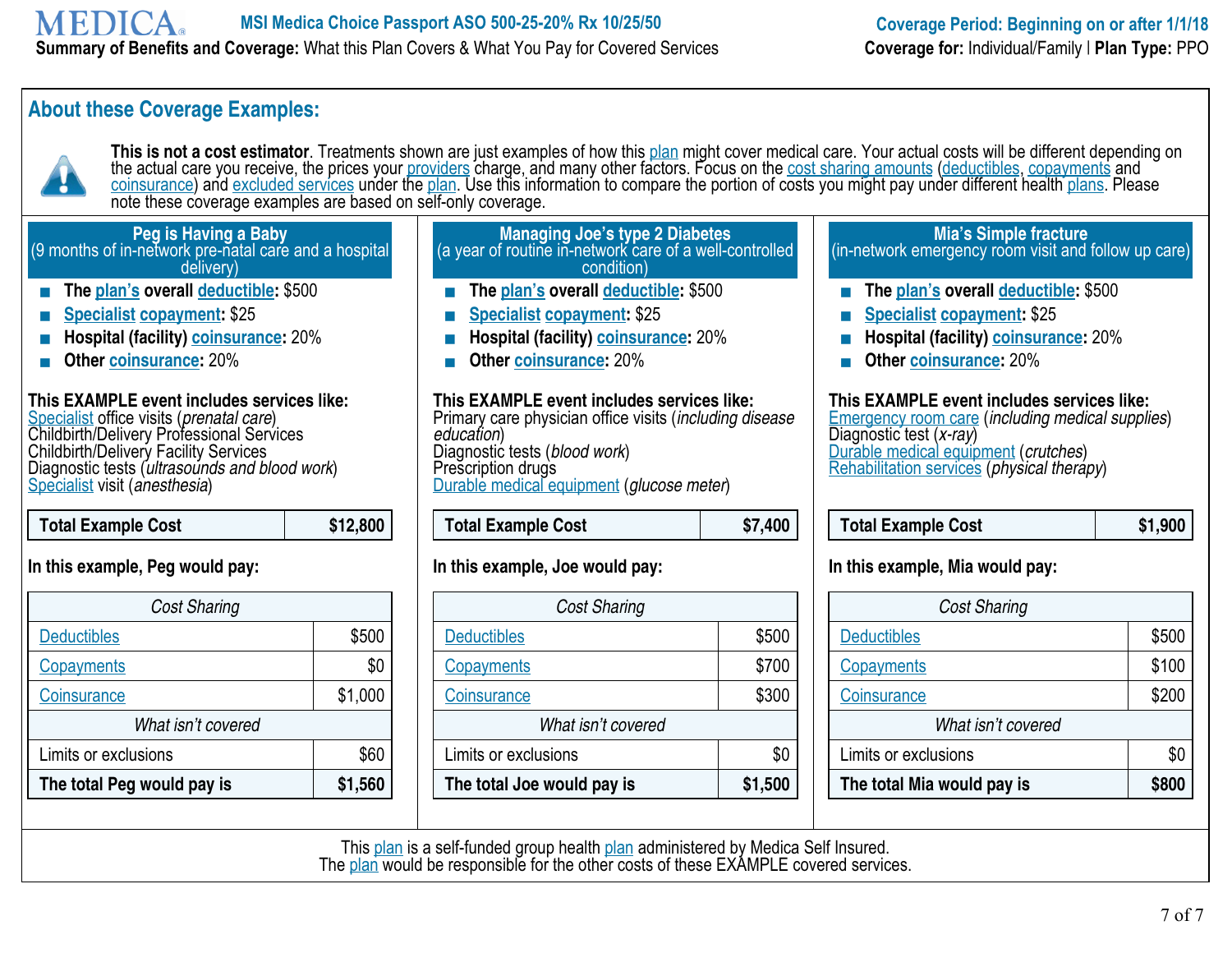## **About these Coverage Examples:**



This is not a cost estimator. Treatments shown are just examples of how this plan might cover medical care. Your actual costs will be different depending on the actual care you receive, the prices your <u>providers</u> charge, and many other factors. Focus on the <u>cost sharing amounts</u> (deductibles, copayments and <u>coinsurance</u>) and <u>excluded services</u> under the <u>plan</u>. Use this information to compare the portion of costs you might pay under different health <u>plans</u>. Please note these coverage examples are based on self-only coverage.

#### **Peg is Having a Baby** (9 months of in-network pre-natal care and a hospital delivery) **The plan's overall deductible:** \$500 **Specialist copayment:** \$25 **Managing Joe's type 2 Diabetes** (a year of routine in-network care of a well-controlled condition) **The plan's overall deductible:** \$500 **Mia's Simple fracture** (in-network emergency room visit and follow up care)

- 
- **Hospital (facility) coinsurance:** 20%
- **Other coinsurance:** 20%

#### **This EXAMPLE event includes services like:**

Specialist office visits (*prenatal care*) Childbirth/Delivery Professional Services Childbirth/Delivery Facility Services Diagnostic tests (*ultrasounds and blood work*) Specialist visit (*anesthesia*)

 **Total Example Cost \$12,800** 

#### **In this example, Peg would pay:**

| <b>Cost Sharing</b>        |         |  |
|----------------------------|---------|--|
| <b>Deductibles</b>         | \$500   |  |
| <b>Copayments</b>          | \$0     |  |
| Coinsurance                | \$1,000 |  |
| What isn't covered         |         |  |
| Limits or exclusions       | \$60    |  |
| The total Peg would pay is | \$1,560 |  |

- **Specialist copayment:** \$25
- **Hospital (facility) coinsurance:** 20%
- **Other coinsurance:** 20%

**This EXAMPLE event includes services like:**  Primary care physician office visits (*including disease education*) Diagnostic tests (*blood work*) Prescription drugs Durable medical equipment (*glucose meter*)

| <b>Total Example Cost</b><br>\$7,400 |
|--------------------------------------|
|--------------------------------------|

#### **In this example, Joe would pay:**

| <b>Cost Sharing</b>        |         |  |
|----------------------------|---------|--|
| <b>Deductibles</b>         | \$500   |  |
| <b>Copayments</b>          | \$700   |  |
| <b>Coinsurance</b>         | \$300   |  |
| What isn't covered         |         |  |
| Limits or exclusions       | \$0     |  |
| The total Joe would pay is | \$1,500 |  |

- **The plan's overall deductible:** \$500
- **Specialist copayment:** \$25
- **Hospital (facility) coinsurance:** 20%
- **Other coinsurance:** 20%

#### **This EXAMPLE event includes services like:**

Emergency room care (*including medical supplies*) Diagnostic test (*x-ray*) Durable medical equipment (*crutches*) Rehabilitation services (*physical therapy*)

| Total Example Cost | \$1,900 |
|--------------------|---------|
|--------------------|---------|

#### **In this example, Mia would pay:**

| <b>Cost Sharing</b>        |              |  |
|----------------------------|--------------|--|
| <b>Deductibles</b>         | \$500        |  |
| Copayments                 | \$100        |  |
| Coinsurance                | \$200        |  |
| What isn't covered         |              |  |
| Limits or exclusions       | \$0          |  |
| The total Mia would pay is | <b>\$800</b> |  |

This plan is a self-funded group health plan administered by Medica Self Insured. The plan would be responsible for the other costs of these EXAMPLE covered services.